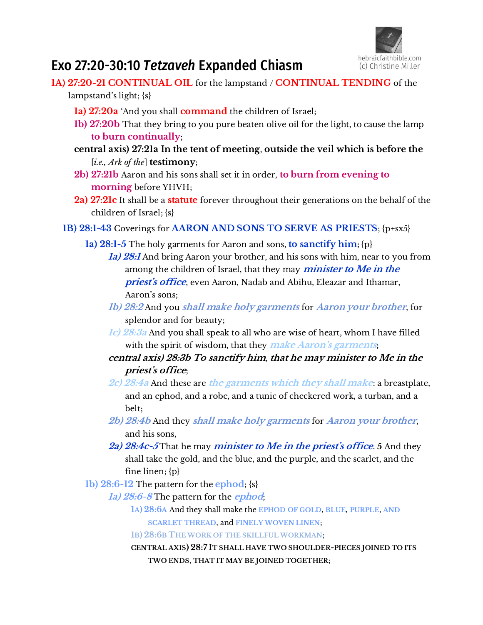

# Exo 27:20-30:10 *Tetzaveh* Expanded Chiasm

- **1A) 27:20-21 CONTINUAL OIL** for the lampstand / **CONTINUAL TENDING** of the lampstand's light; {s}
	- **1a) 27:20a** 'And you shall **command** the children of Israel;
	- **1b) 27:20b** That they bring to you pure beaten olive oil for the light, to cause the lamp **to burn continually**;
	- **central axis) 27:21a In the tent of meeting**, **outside the veil which is before the**  [*i.e., Ark of the*] **testimony**;
	- **2b) 27:21b** Aaron and his sons shall set it in order, **to burn from evening to morning** before YHVH;
	- **2a) 27:21c** It shall be a **statute** forever throughout their generations on the behalf of the children of Israel; {s}
	- **1B) 28:1-43** Coverings for **AARON AND SONS TO SERVE AS PRIESTS**; {p+sx5}
		- **1a) 28:1-5** The holy garments for Aaron and sons, **to sanctify him;** {p}
			- **1a) 28:1** And bring Aaron your brother, and his sons with him, near to you from among the children of Israel, that they may **minister to Me in the**  priest's office, even Aaron, Nadab and Abihu, Eleazar and Ithamar, Aaron's sons;
			- **1b) 28:2** And you **shall make holy garments** for **Aaron your brother**, for splendor and for beauty;
			- **1c) 28:3a** And you shall speak to all who are wise of heart, whom I have filled with the spirit of wisdom, that they make Aaron's garments;
			- **central axis) 28:3b To sanctify him**, **that he may minister to Me in the priest's office;**
			- **2c) 28:4a** And these are **the garments which they shall make**: a breastplate, and an ephod, and a robe, and a tunic of checkered work, a turban, and a belt;
			- **2b) 28:4b** And they **shall make holy garments** for **Aaron your brother**, and his sons,
			- **2a) 28:4c-5** That he may **minister to Me in the priest's office**. **5** And they shall take the gold, and the blue, and the purple, and the scarlet, and the fine linen; {p}
		- **1b) 28:6-12** The pattern for the **ephod**; {s}
			- **1a) 28:6-8** The pattern for the **ephod**;
				- **1A) 28:6A** And they shall make the **EPHOD OF GOLD**, **BLUE**, **PURPLE**, **AND SCARLET THREAD**, and **FINELY WOVEN LINEN**;
				- **1B) 28:6B THE WORK OF THE SKILLFUL WORKMAN**;
				- **CENTRAL AXIS) 28:7 IT SHALL HAVE TWO SHOULDER-PIECES JOINED TO ITS TWO ENDS**, **THAT IT MAY BE JOINED TOGETHER**;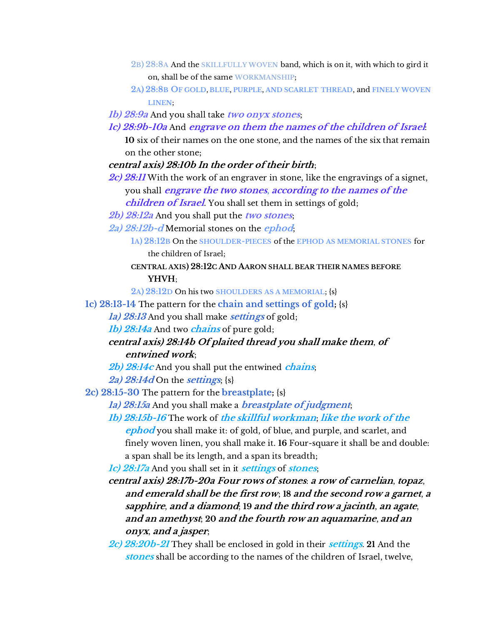- **2B) 28:8A** And the **SKILLFULLY WOVEN** band, which is on it, with which to gird it on, shall be of the same **WORKMANSHIP**;
- **2A) 28:8B OF GOLD**, **BLUE**, **PURPLE**, **AND SCARLET THREAD**, and **FINELY WOVEN LINEN**;
- **1b) 28:9a** And you shall take **two onyx stones**;
- **1c) 28:9b-10a** And **engrave on them the names of the children of Israel**:

**10** six of their names on the one stone, and the names of the six that remain on the other stone;

## **central axis) 28:10b In the order of their birth**;

- **2c) 28:11** With the work of an engraver in stone, like the engravings of a signet, you shall **engrave the two stones**, **according to the names of the children of Israel**. You shall set them in settings of gold;
- **2b) 28:12a** And you shall put the **two stones**;
- **2a) 28:12b-d** Memorial stones on the **ephod**;

## **CENTRAL AXIS) 28:12C AND AARON SHALL BEAR THEIR NAMES BEFORE YHVH**;

**2A) 28:12D** On his two **SHOULDERS AS A MEMORIAL**; {s}

- **1c) 28:13-14** The pattern for the **chain and settings of gold;** {s}
	- **1a) 28:13** And you shall make **settings** of gold;

**1b) 28:14a** And two **chains** of pure gold;

## **central axis) 28:14b Of plaited thread you shall make them**, **of entwined work**;

**2b) 28:14c** And you shall put the entwined **chains**;

**2a) 28:14d** On the **settings**; {s}

**2c) 28:15-30** The pattern for the **breastplate;** {s}

- **1a) 28:15a** And you shall make a **breastplate of judgment**;
- **1b) 28:15b-16** The work of **the skillful workman**; **like the work of the ephod** you shall make it: of gold, of blue, and purple, and scarlet, and finely woven linen, you shall make it. **16** Four-square it shall be and double:

a span shall be its length, and a span its breadth;

**1c) 28:17a** And you shall set in it **settings** of **stones**;

- **central axis) 28:17b-20a Four rows of stones**: **a row of carnelian**, **topaz**, **and emerald shall be the first row**; **18 and the second row a garnet**, **<sup>a</sup> sapphire**, **and a diamond**; **19 and the third row a jacinth**, **an agate**, **and an amethyst**; **20 and the fourth row an aquamarine**, **and an onyx**, **and a jasper**;
- **2c) 28:20b-21** They shall be enclosed in gold in their **settings**. **21** And the **stones** shall be according to the names of the children of Israel, twelve,

**<sup>1</sup>A) 28:12B** On the **SHOULDER-PIECES** of the **EPHOD AS MEMORIAL STONES** for the children of Israel;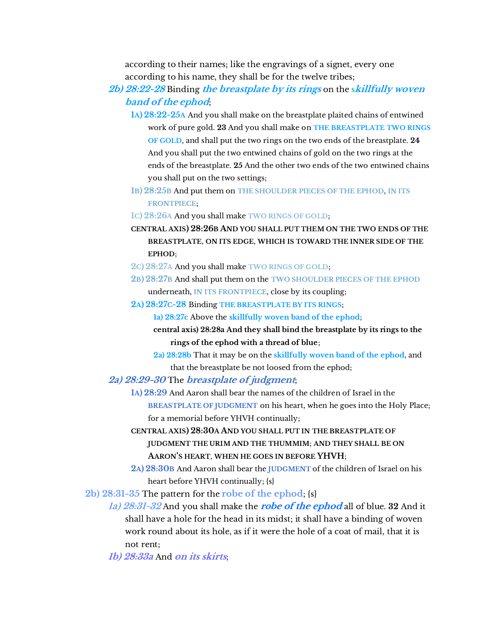according to their names; like the engravings of a signet, every one according to his name, they shall be for the twelve tribes;

- **2b) 28:22-28** Binding **the breastplate by its rings** on the **skillfully woven band of the ephod**;
	- **1A) 28:22-25A** And you shall make on the breastplate plaited chains of entwined work of pure gold. **23** And you shall make on **THE BREASTPLATE TWO RINGS OF GOLD**, and shall put the two rings on the two ends of the breastplate. **24** And you shall put the two entwined chains of gold on the two rings at the ends of the breastplate. **25** And the other two ends of the two entwined chains you shall put on the two settings;
	- **1B) 28:25B** And put them on **THE SHOULDER PIECES OF THE EPHOD**, **IN ITS FRONTPIECE**;
	- **1C) 28:26A** And you shall make **TWO RINGS OF GOLD**;
	- **CENTRAL AXIS) 28:26B AND YOU SHALL PUT THEM ON THE TWO ENDS OF THE BREASTPLATE**, **ON ITS EDGE**, **WHICH IS TOWARD THE INNER SIDE OF THE EPHOD**;
	- **2C) 28:27A** And you shall make **TWO RINGS OF GOLD**;
	- **2B) 28:27B** And shall put them on the **TWO SHOULDER PIECES OF THE EPHOD** underneath, **IN ITS FRONTPIECE**, close by its coupling;
	- **2A) 28:27C-28** Binding **THE BREASTPLATE BY ITS RINGS**;

**1a) 28:27c** Above the **skillfully woven band of the ephod**;

**central axis) 28:28a And they shall bind the breastplate by its rings to the rings of the ephod with a thread of blue**;

**2a) 28:28b** That it may be on the **skillfully woven band of the ephod**, and that the breastplate be not loosed from the ephod;

- **2a) 28:29-30** The **breastplate of judgment**;
	- **1A) 28:29** And Aaron shall bear the names of the children of Israel in the **BREASTPLATE OF JUDGMENT** on his heart, when he goes into the Holy Place; for a memorial before YHVH continually;
	- **CENTRAL AXIS) 28:30A AND YOU SHALL PUT IN THE BREASTPLATE OF JUDGMENT THE URIM AND THE THUMMIM**; **AND THEY SHALL BE ON AARON'S HEART**, **WHEN HE GOES IN BEFORE YHVH**;
	- **2A) 28:30B** And Aaron shall bear the **JUDGMENT** of the children of Israel on his heart before YHVH continually; {s}

**2b) 28:31-35** The pattern for the **robe of the ephod**; {s}

**1a) 28:31-32** And you shall make the **robe of the ephod** all of blue. **32** And it shall have a hole for the head in its midst; it shall have a binding of woven work round about its hole, as if it were the hole of a coat of mail, that it is not rent;

**1b) 28:33a** And **on its skirts**;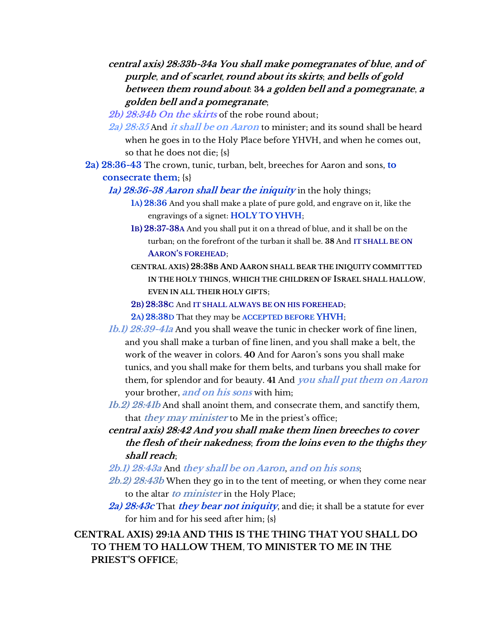## **central axis) 28:33b-34a You shall make pomegranates of blue**, **and of purple**, **and of scarlet**, **round about its skirts**; **and bells of gold between them round about**: **34 a golden bell and a pomegranate**, **<sup>a</sup> golden bell and a pomegranate**;

**2b) 28:34b On the skirts** of the robe round about;

**2a) 28:35** And **it shall be on Aaron** to minister; and its sound shall be heard when he goes in to the Holy Place before YHVH, and when he comes out, so that he does not die; {s}

**2a) 28:36-43** The crown, tunic, turban, belt, breeches for Aaron and sons, **to consecrate them**; {s}

**1a) 28:36-38 Aaron shall bear the iniquity** in the holy things;

**1A) 28:36** And you shall make a plate of pure gold, and engrave on it, like the engravings of a signet: **HOLY TO YHVH**;

**1B) 28:37-38A** And you shall put it on a thread of blue, and it shall be on the turban; on the forefront of the turban it shall be. **38** And **IT SHALL BE ON AARON'S FOREHEAD**;

**CENTRAL AXIS) 28:38B AND AARON SHALL BEAR THE INIQUITY COMMITTED IN THE HOLY THINGS**, **WHICH THE CHILDREN OF ISRAEL SHALL HALLOW**, **EVEN IN ALL THEIR HOLY GIFTS**;

**2B) 28:38C** And **IT SHALL ALWAYS BE ON HIS FOREHEAD**;

**2A) 28:38D** That they may be **ACCEPTED BEFORE YHVH**;

**1b.1) 28:39-41a** And you shall weave the tunic in checker work of fine linen, and you shall make a turban of fine linen, and you shall make a belt, the work of the weaver in colors. **40** And for Aaron's sons you shall make tunics, and you shall make for them belts, and turbans you shall make for them, for splendor and for beauty. **41** And **you shall put them on Aaron** your brother, **and on his sons** with him;

**1b.2) 28:41b** And shall anoint them, and consecrate them, and sanctify them, that *they may minister* to Me in the priest's office;

**central axis) 28:42 And you shall make them linen breeches to cover the flesh of their nakedness**; **from the loins even to the thighs they shall reach**;

**2b.1) 28:43a** And **they shall be on Aaron**, **and on his sons**;

**2b.2) 28:43b** When they go in to the tent of meeting, or when they come near to the altar **to minister** in the Holy Place;

**2a) 28:43c** That **they bear not iniquity**, and die; it shall be a statute for ever for him and for his seed after him; {s}

**CENTRAL AXIS) 29:1A AND THIS IS THE THING THAT YOU SHALL DO TO THEM TO HALLOW THEM**, **TO MINISTER TO ME IN THE PRIEST'S OFFICE**;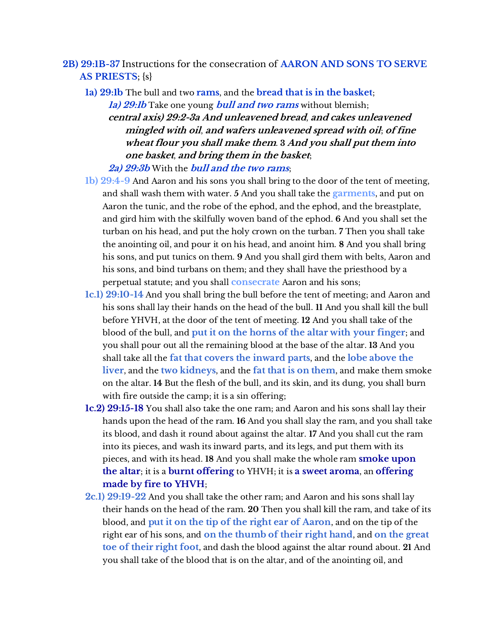- **2B) 29:1B-37** Instructions for the consecration of **AARON AND SONS TO SERVE AS PRIESTS**; {s}
	- **1a) 29:1b** The bull and two **rams**, and the **bread that is in the basket**;

**1a) 29:1b** Take one young **bull and two rams** without blemish; **central axis) 29:2-3a And unleavened bread**, **and cakes unleavened mingled with oil**, **and wafers unleavened spread with oil**; **of fine wheat flour you shall make them**. **3 And you shall put them into one basket**, **and bring them in the basket**;

**2a) 29:3b** With the **bull and the two rams**;

- **1b) 29:4-9** And Aaron and his sons you shall bring to the door of the tent of meeting, and shall wash them with water. **5** And you shall take the **garments**, and put on Aaron the tunic, and the robe of the ephod, and the ephod, and the breastplate, and gird him with the skilfully woven band of the ephod. **6** And you shall set the turban on his head, and put the holy crown on the turban. **7** Then you shall take the anointing oil, and pour it on his head, and anoint him. **8** And you shall bring his sons, and put tunics on them. **9** And you shall gird them with belts, Aaron and his sons, and bind turbans on them; and they shall have the priesthood by a perpetual statute; and you shall **consecrate** Aaron and his sons;
- **1c.1) 29:10-14** And you shall bring the bull before the tent of meeting; and Aaron and his sons shall lay their hands on the head of the bull. **11** And you shall kill the bull before YHVH, at the door of the tent of meeting. **12** And you shall take of the blood of the bull, and **put it on the horns of the altar with your finger**; and you shall pour out all the remaining blood at the base of the altar. **13** And you shall take all the **fat that covers the inward parts**, and the **lobe above the liver**, and the **two kidneys**, and the **fat that is on them**, and make them smoke on the altar. **14** But the flesh of the bull, and its skin, and its dung, you shall burn with fire outside the camp; it is a sin offering;
- **1c.2) 29:15-18** You shall also take the one ram; and Aaron and his sons shall lay their hands upon the head of the ram. **16** And you shall slay the ram, and you shall take its blood, and dash it round about against the altar. **17** And you shall cut the ram into its pieces, and wash its inward parts, and its legs, and put them with its pieces, and with its head. **18** And you shall make the whole ram **smoke upon the altar**; it is a **burnt offering** to YHVH; it is **a sweet aroma**, an **offering made by fire to YHVH**;
- **2c.1) 29:19-22** And you shall take the other ram; and Aaron and his sons shall lay their hands on the head of the ram. **20** Then you shall kill the ram, and take of its blood, and **put it on the tip of the right ear of Aaron**, and on the tip of the right ear of his sons, and **on the thumb of their right hand**, and **on the great toe of their right foot**, and dash the blood against the altar round about. **21** And you shall take of the blood that is on the altar, and of the anointing oil, and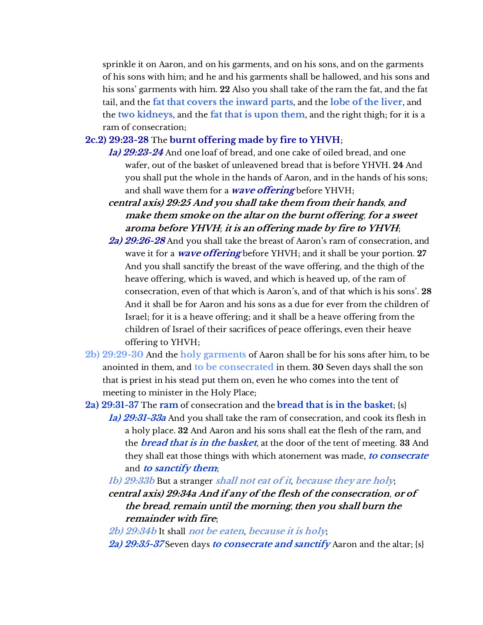sprinkle it on Aaron, and on his garments, and on his sons, and on the garments of his sons with him; and he and his garments shall be hallowed, and his sons and his sons' garments with him. **22** Also you shall take of the ram the fat, and the fat tail, and the **fat that covers the inward parts**, and the **lobe of the liver**, and the **two kidneys**, and the **fat that is upon them**, and the right thigh; for it is a ram of consecration;

## **2c.2) 29:23-28** The **burnt offering made by fire to YHVH**;

- **1a) 29:23-24** And one loaf of bread, and one cake of oiled bread, and one wafer, out of the basket of unleavened bread that is before YHVH. **24** And you shall put the whole in the hands of Aaron, and in the hands of his sons; and shall wave them for a **wave offering** before YHVH;
- **central axis) 29:25 And you shall take them from their hands**, **and make them smoke on the altar on the burnt offering**, **for a sweet aroma before YHVH**; **it is an offering made by fire to YHVH**;
- **2a) 29:26-28** And you shall take the breast of Aaron's ram of consecration, and wave it for a **wave offering** before YHVH; and it shall be your portion. **27** And you shall sanctify the breast of the wave offering, and the thigh of the heave offering, which is waved, and which is heaved up, of the ram of consecration, even of that which is Aaron's, and of that which is his sons'. **28** And it shall be for Aaron and his sons as a due for ever from the children of Israel; for it is a heave offering; and it shall be a heave offering from the children of Israel of their sacrifices of peace offerings, even their heave offering to YHVH;
- **2b) 29:29-30** And the **holy garments** of Aaron shall be for his sons after him, to be anointed in them, and **to be consecrated** in them. **30** Seven days shall the son that is priest in his stead put them on, even he who comes into the tent of meeting to minister in the Holy Place;
- **2a) 29:31-37** The **ram** of consecration and the **bread that is in the basket**; {s} **1a) 29:31-33a** And you shall take the ram of consecration, and cook its flesh in a holy place. **32** And Aaron and his sons shall eat the flesh of the ram, and the **bread that is in the basket**, at the door of the tent of meeting. **33** And they shall eat those things with which atonement was made, **to consecrate** and **to sanctify them**;
	- **1b) 29:33b** But a stranger **shall not eat of it**, **because they are holy**;

**central axis) 29:34a And if any of the flesh of the consecration**, **or of the bread**, **remain until the morning**, **then you shall burn the remainder with fire**;

- **2b) 29:34b** It shall **not be eaten**, **because it is holy**;
- **2a) 29:35-37** Seven days **to consecrate and sanctify** Aaron and the altar; {s}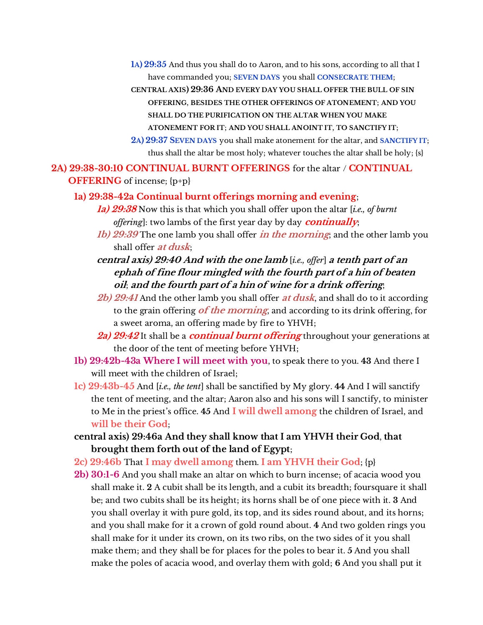**1A) 29:35** And thus you shall do to Aaron, and to his sons, according to all that I have commanded you; **SEVEN DAYS** you shall **CONSECRATE THEM**;

**CENTRAL AXIS) 29:36 AND EVERY DAY YOU SHALL OFFER THE BULL OF SIN OFFERING**, **BESIDES THE OTHER OFFERINGS OF ATONEMENT**; **AND YOU SHALL DO THE PURIFICATION ON THE ALTAR WHEN YOU MAKE ATONEMENT FOR IT**; **AND YOU SHALL ANOINT IT**, **TO SANCTIFY IT**; **2A) 29:37 SEVEN DAYS** you shall make atonement for the altar, and **SANCTIFY IT**; thus shall the altar be most holy; whatever touches the altar shall be holy; {s}

**2A) 29:38-30:10 CONTINUAL BURNT OFFERINGS** for the altar / **CONTINUAL** 

#### **OFFERING** of incense; {p+p}

- **1a) 29:38-42a Continual burnt offerings morning and evening**;
	- **1a) 29:38** Now this is that which you shall offer upon the altar [*i.e., of burnt offering*]: two lambs of the first year day by day **continually**;
	- **1b) 29:39** The one lamb you shall offer **in the morning**; and the other lamb you shall offer **at dusk**;
	- **central axis) 29:40 And with the one lamb** [*i.e., offer*] **a tenth part of an ephah of fine flour mingled with the fourth part of a hin of beaten oil**; **and the fourth part of a hin of wine for a drink offering**;
	- **2b) 29:41** And the other lamb you shall offer **at dusk**, and shall do to it according to the grain offering **of the morning**, and according to its drink offering, for a sweet aroma, an offering made by fire to YHVH;
	- **2a) 29:42** It shall be a **continual burnt offering** throughout your generations at the door of the tent of meeting before YHVH;
- **1b) 29:42b-43a Where I will meet with you**, to speak there to you. **43** And there I will meet with the children of Israel;
- **1c) 29:43b-45** And [*i.e., the tent*] shall be sanctified by My glory. **44** And I will sanctify the tent of meeting, and the altar; Aaron also and his sons will I sanctify, to minister to Me in the priest's office. **45** And **I will dwell among** the children of Israel, and **will be their God**;
- **central axis) 29:46a And they shall know that I am YHVH their God**, **that brought them forth out of the land of Egypt**;
- **2c) 29:46b** That **I may dwell among** them. **I am YHVH their God**; {p}
- **2b) 30:1-6** And you shall make an altar on which to burn incense; of acacia wood you shall make it. **2** A cubit shall be its length, and a cubit its breadth; foursquare it shall be; and two cubits shall be its height; its horns shall be of one piece with it. **3** And you shall overlay it with pure gold, its top, and its sides round about, and its horns; and you shall make for it a crown of gold round about. **4** And two golden rings you shall make for it under its crown, on its two ribs, on the two sides of it you shall make them; and they shall be for places for the poles to bear it. **5** And you shall make the poles of acacia wood, and overlay them with gold; **6** And you shall put it